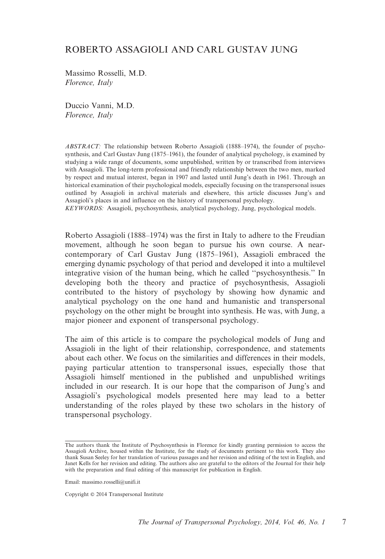# ROBERTO ASSAGIOLI AND CARL GUSTAV JUNG

Massimo Rosselli, M.D. Florence, Italy

Duccio Vanni, M.D. Florence, Italy

ABSTRACT: The relationship between Roberto Assagioli (1888–1974), the founder of psychosynthesis, and Carl Gustav Jung (1875–1961), the founder of analytical psychology, is examined by studying a wide range of documents, some unpublished, written by or transcribed from interviews with Assagioli. The long-term professional and friendly relationship between the two men, marked by respect and mutual interest, began in 1907 and lasted until Jung's death in 1961. Through an historical examination of their psychological models, especially focusing on the transpersonal issues outlined by Assagioli in archival materials and elsewhere, this article discusses Jung's and Assagioli's places in and influence on the history of transpersonal psychology.

KEYWORDS: Assagioli, psychosynthesis, analytical psychology, Jung, psychological models.

Roberto Assagioli (1888–1974) was the first in Italy to adhere to the Freudian movement, although he soon began to pursue his own course. A nearcontemporary of Carl Gustav Jung (1875–1961), Assagioli embraced the emerging dynamic psychology of that period and developed it into a multilevel integrative vision of the human being, which he called ''psychosynthesis.'' In developing both the theory and practice of psychosynthesis, Assagioli contributed to the history of psychology by showing how dynamic and analytical psychology on the one hand and humanistic and transpersonal psychology on the other might be brought into synthesis. He was, with Jung, a major pioneer and exponent of transpersonal psychology.

The aim of this article is to compare the psychological models of Jung and Assagioli in the light of their relationship, correspondence, and statements about each other. We focus on the similarities and differences in their models, paying particular attention to transpersonal issues, especially those that Assagioli himself mentioned in the published and unpublished writings included in our research. It is our hope that the comparison of Jung's and Assagioli's psychological models presented here may lead to a better understanding of the roles played by these two scholars in the history of transpersonal psychology.

The authors thank the Institute of Psychosynthesis in Florence for kindly granting permission to access the Assagioli Archive, housed within the Institute, for the study of documents pertinent to this work. They also thank Susan Seeley for her translation of various passages and her revision and editing of the text in English, and Janet Kells for her revision and editing. The authors also are grateful to the editors of the Journal for their help with the preparation and final editing of this manuscript for publication in English.

Email: massimo.rosselli@unifi.it

Copyright © 2014 Transpersonal Institute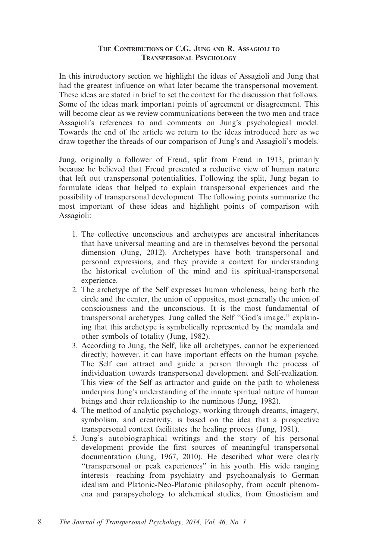### THE CONTRIBUTIONS OF C.G. JUNG AND R. ASSAGIOLI TO TRANSPERSONAL PSYCHOLOGY

In this introductory section we highlight the ideas of Assagioli and Jung that had the greatest influence on what later became the transpersonal movement. These ideas are stated in brief to set the context for the discussion that follows. Some of the ideas mark important points of agreement or disagreement. This will become clear as we review communications between the two men and trace Assagioli's references to and comments on Jung's psychological model. Towards the end of the article we return to the ideas introduced here as we draw together the threads of our comparison of Jung's and Assagioli's models.

Jung, originally a follower of Freud, split from Freud in 1913, primarily because he believed that Freud presented a reductive view of human nature that left out transpersonal potentialities. Following the split, Jung began to formulate ideas that helped to explain transpersonal experiences and the possibility of transpersonal development. The following points summarize the most important of these ideas and highlight points of comparison with Assagioli:

- 1. The collective unconscious and archetypes are ancestral inheritances that have universal meaning and are in themselves beyond the personal dimension (Jung, 2012). Archetypes have both transpersonal and personal expressions, and they provide a context for understanding the historical evolution of the mind and its spiritual-transpersonal experience.
- 2. The archetype of the Self expresses human wholeness, being both the circle and the center, the union of opposites, most generally the union of consciousness and the unconscious. It is the most fundamental of transpersonal archetypes. Jung called the Self ''God's image,'' explaining that this archetype is symbolically represented by the mandala and other symbols of totality (Jung, 1982).
- 3. According to Jung, the Self, like all archetypes, cannot be experienced directly; however, it can have important effects on the human psyche. The Self can attract and guide a person through the process of individuation towards transpersonal development and Self-realization. This view of the Self as attractor and guide on the path to wholeness underpins Jung's understanding of the innate spiritual nature of human beings and their relationship to the numinous (Jung, 1982).
- 4. The method of analytic psychology, working through dreams, imagery, symbolism, and creativity, is based on the idea that a prospective transpersonal context facilitates the healing process (Jung, 1981).
- 5. Jung's autobiographical writings and the story of his personal development provide the first sources of meaningful transpersonal documentation (Jung, 1967, 2010). He described what were clearly ''transpersonal or peak experiences'' in his youth. His wide ranging interests—reaching from psychiatry and psychoanalysis to German idealism and Platonic-Neo-Platonic philosophy, from occult phenomena and parapsychology to alchemical studies, from Gnosticism and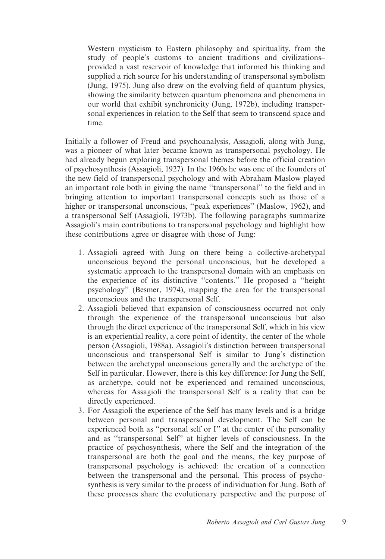Western mysticism to Eastern philosophy and spirituality, from the study of people's customs to ancient traditions and civilizations– provided a vast reservoir of knowledge that informed his thinking and supplied a rich source for his understanding of transpersonal symbolism (Jung, 1975). Jung also drew on the evolving field of quantum physics, showing the similarity between quantum phenomena and phenomena in our world that exhibit synchronicity (Jung, 1972b), including transpersonal experiences in relation to the Self that seem to transcend space and time.

Initially a follower of Freud and psychoanalysis, Assagioli, along with Jung, was a pioneer of what later became known as transpersonal psychology. He had already begun exploring transpersonal themes before the official creation of psychosynthesis (Assagioli, 1927). In the 1960s he was one of the founders of the new field of transpersonal psychology and with Abraham Maslow played an important role both in giving the name ''transpersonal'' to the field and in bringing attention to important transpersonal concepts such as those of a higher or transpersonal unconscious, "peak experiences" (Maslow, 1962), and a transpersonal Self (Assagioli, 1973b). The following paragraphs summarize Assagioli's main contributions to transpersonal psychology and highlight how these contributions agree or disagree with those of Jung:

- 1. Assagioli agreed with Jung on there being a collective-archetypal unconscious beyond the personal unconscious, but he developed a systematic approach to the transpersonal domain with an emphasis on the experience of its distinctive ''contents.'' He proposed a ''height psychology'' (Besmer, 1974), mapping the area for the transpersonal unconscious and the transpersonal Self.
- 2. Assagioli believed that expansion of consciousness occurred not only through the experience of the transpersonal unconscious but also through the direct experience of the transpersonal Self, which in his view is an experiential reality, a core point of identity, the center of the whole person (Assagioli, 1988a). Assagioli's distinction between transpersonal unconscious and transpersonal Self is similar to Jung's distinction between the archetypal unconscious generally and the archetype of the Self in particular. However, there is this key difference: for Jung the Self, as archetype, could not be experienced and remained unconscious, whereas for Assagioli the transpersonal Self is a reality that can be directly experienced.
- 3. For Assagioli the experience of the Self has many levels and is a bridge between personal and transpersonal development. The Self can be experienced both as ''personal self or I'' at the center of the personality and as ''transpersonal Self'' at higher levels of consciousness. In the practice of psychosynthesis, where the Self and the integration of the transpersonal are both the goal and the means, the key purpose of transpersonal psychology is achieved: the creation of a connection between the transpersonal and the personal. This process of psychosynthesis is very similar to the process of individuation for Jung. Both of these processes share the evolutionary perspective and the purpose of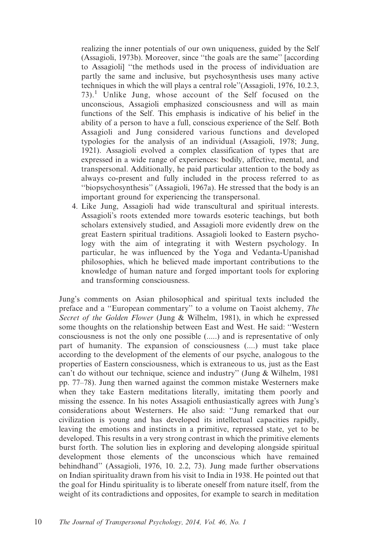realizing the inner potentials of our own uniqueness, guided by the Self (Assagioli, 1973b). Moreover, since ''the goals are the same'' [according to Assagioli] ''the methods used in the process of individuation are partly the same and inclusive, but psychosynthesis uses many active techniques in which the will plays a central role''(Assagioli, 1976, 10.2.3,  $73$ ).<sup>1</sup> Unlike Jung, whose account of the Self focused on the unconscious, Assagioli emphasized consciousness and will as main functions of the Self. This emphasis is indicative of his belief in the ability of a person to have a full, conscious experience of the Self. Both Assagioli and Jung considered various functions and developed typologies for the analysis of an individual (Assagioli, 1978; Jung, 1921). Assagioli evolved a complex classification of types that are expressed in a wide range of experiences: bodily, affective, mental, and transpersonal. Additionally, he paid particular attention to the body as always co-present and fully included in the process referred to as ''biopsychosynthesis'' (Assagioli, 1967a). He stressed that the body is an important ground for experiencing the transpersonal.

4. Like Jung, Assagioli had wide transcultural and spiritual interests. Assagioli's roots extended more towards esoteric teachings, but both scholars extensively studied, and Assagioli more evidently drew on the great Eastern spiritual traditions. Assagioli looked to Eastern psychology with the aim of integrating it with Western psychology. In particular, he was influenced by the Yoga and Vedanta-Upanishad philosophies, which he believed made important contributions to the knowledge of human nature and forged important tools for exploring and transforming consciousness.

Jung's comments on Asian philosophical and spiritual texts included the preface and a ''European commentary'' to a volume on Taoist alchemy, The Secret of the Golden Flower (Jung & Wilhelm, 1981), in which he expressed some thoughts on the relationship between East and West. He said: ''Western consciousness is not the only one possible (.....) and is representative of only part of humanity. The expansion of consciousness (....) must take place according to the development of the elements of our psyche, analogous to the properties of Eastern consciousness, which is extraneous to us, just as the East can't do without our technique, science and industry'' (Jung & Wilhelm, 1981 pp. 77–78). Jung then warned against the common mistake Westerners make when they take Eastern meditations literally, imitating them poorly and missing the essence. In his notes Assagioli enthusiastically agrees with Jung's considerations about Westerners. He also said: ''Jung remarked that our civilization is young and has developed its intellectual capacities rapidly, leaving the emotions and instincts in a primitive, repressed state, yet to be developed. This results in a very strong contrast in which the primitive elements burst forth. The solution lies in exploring and developing alongside spiritual development those elements of the unconscious which have remained behindhand'' (Assagioli, 1976, 10. 2.2, 73). Jung made further observations on Indian spirituality drawn from his visit to India in 1938. He pointed out that the goal for Hindu spirituality is to liberate oneself from nature itself, from the weight of its contradictions and opposites, for example to search in meditation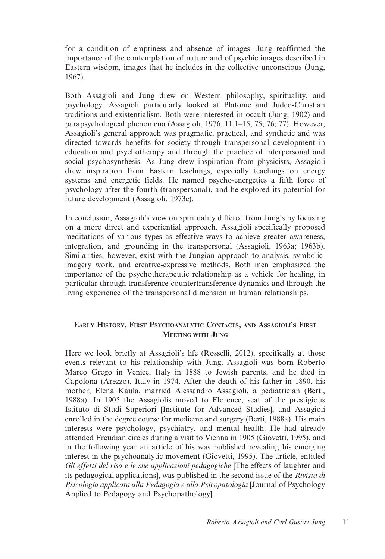for a condition of emptiness and absence of images. Jung reaffirmed the importance of the contemplation of nature and of psychic images described in Eastern wisdom, images that he includes in the collective unconscious (Jung, 1967).

Both Assagioli and Jung drew on Western philosophy, spirituality, and psychology. Assagioli particularly looked at Platonic and Judeo-Christian traditions and existentialism. Both were interested in occult (Jung, 1902) and parapsychological phenomena (Assagioli, 1976, 11.1–15, 75; 76; 77). However, Assagioli's general approach was pragmatic, practical, and synthetic and was directed towards benefits for society through transpersonal development in education and psychotherapy and through the practice of interpersonal and social psychosynthesis. As Jung drew inspiration from physicists, Assagioli drew inspiration from Eastern teachings, especially teachings on energy systems and energetic fields. He named psycho-energetics a fifth force of psychology after the fourth (transpersonal), and he explored its potential for future development (Assagioli, 1973c).

In conclusion, Assagioli's view on spirituality differed from Jung's by focusing on a more direct and experiential approach. Assagioli specifically proposed meditations of various types as effective ways to achieve greater awareness, integration, and grounding in the transpersonal (Assagioli, 1963a; 1963b). Similarities, however, exist with the Jungian approach to analysis, symbolicimagery work, and creative-expressive methods. Both men emphasized the importance of the psychotherapeutic relationship as a vehicle for healing, in particular through transference-countertransference dynamics and through the living experience of the transpersonal dimension in human relationships.

## EARLY HISTORY, FIRST PSYCHOANALYTIC CONTACTS, AND ASSAGIOLI'S FIRST MEETING WITH JUNG

Here we look briefly at Assagioli's life (Rosselli, 2012), specifically at those events relevant to his relationship with Jung. Assagioli was born Roberto Marco Grego in Venice, Italy in 1888 to Jewish parents, and he died in Capolona (Arezzo), Italy in 1974. After the death of his father in 1890, his mother, Elena Kaula, married Alessandro Assagioli, a pediatrician (Berti, 1988a). In 1905 the Assagiolis moved to Florence, seat of the prestigious Istituto di Studi Superiori [Institute for Advanced Studies], and Assagioli enrolled in the degree course for medicine and surgery (Berti, 1988a). His main interests were psychology, psychiatry, and mental health. He had already attended Freudian circles during a visit to Vienna in 1905 (Giovetti, 1995), and in the following year an article of his was published revealing his emerging interest in the psychoanalytic movement (Giovetti, 1995). The article, entitled Gli effetti del riso e le sue applicazioni pedagogiche [The effects of laughter and its pedagogical applications], was published in the second issue of the Rivista di Psicologia applicata alla Pedagogia e alla Psicopatologia [Journal of Psychology Applied to Pedagogy and Psychopathology].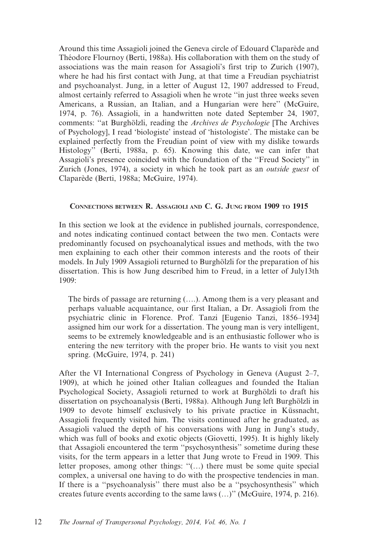Around this time Assagioli joined the Geneva circle of Edouard Claparède and Théodore Flournoy (Berti, 1988a). His collaboration with them on the study of associations was the main reason for Assagioli's first trip to Zurich (1907), where he had his first contact with Jung, at that time a Freudian psychiatrist and psychoanalyst. Jung, in a letter of August 12, 1907 addressed to Freud, almost certainly referred to Assagioli when he wrote ''in just three weeks seven Americans, a Russian, an Italian, and a Hungarian were here'' (McGuire, 1974, p. 76). Assagioli, in a handwritten note dated September 24, 1907, comments: "at Burghölzli, reading the Archives de Psychologie [The Archives of Psychology], I read 'biologiste' instead of 'histologiste'. The mistake can be explained perfectly from the Freudian point of view with my dislike towards Histology'' (Berti, 1988a, p. 65). Knowing this date, we can infer that Assagioli's presence coincided with the foundation of the ''Freud Society'' in Zurich (Jones, 1974), a society in which he took part as an outside guest of Clapare`de (Berti, 1988a; McGuire, 1974).

### CONNECTIONS BETWEEN R. ASSAGIOLI AND C. G. JUNG FROM 1909 TO 1915

In this section we look at the evidence in published journals, correspondence, and notes indicating continued contact between the two men. Contacts were predominantly focused on psychoanalytical issues and methods, with the two men explaining to each other their common interests and the roots of their models. In July 1909 Assagioli returned to Burghölzli for the preparation of his dissertation. This is how Jung described him to Freud, in a letter of July13th 1909:

The birds of passage are returning (….). Among them is a very pleasant and perhaps valuable acquaintance, our first Italian, a Dr. Assagioli from the psychiatric clinic in Florence. Prof. Tanzi [Eugenio Tanzi, 1856–1934] assigned him our work for a dissertation. The young man is very intelligent, seems to be extremely knowledgeable and is an enthusiastic follower who is entering the new territory with the proper brio. He wants to visit you next spring. (McGuire, 1974, p. 241)

After the VI International Congress of Psychology in Geneva (August 2–7, 1909), at which he joined other Italian colleagues and founded the Italian Psychological Society, Assagioli returned to work at Burghölzli to draft his dissertation on psychoanalysis (Berti, 1988a). Although Jung left Burghölzli in 1909 to devote himself exclusively to his private practice in Küssnacht, Assagioli frequently visited him. The visits continued after he graduated, as Assagioli valued the depth of his conversations with Jung in Jung's study, which was full of books and exotic objects (Giovetti, 1995). It is highly likely that Assagioli encountered the term ''psychosynthesis'' sometime during these visits, for the term appears in a letter that Jung wrote to Freud in 1909. This letter proposes, among other things: ''(…) there must be some quite special complex, a universal one having to do with the prospective tendencies in man. If there is a ''psychoanalysis'' there must also be a ''psychosynthesis'' which creates future events according to the same laws (…)'' (McGuire, 1974, p. 216).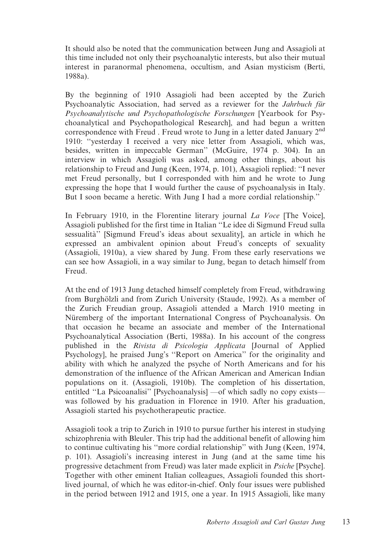It should also be noted that the communication between Jung and Assagioli at this time included not only their psychoanalytic interests, but also their mutual interest in paranormal phenomena, occultism, and Asian mysticism (Berti, 1988a).

By the beginning of 1910 Assagioli had been accepted by the Zurich Psychoanalytic Association, had served as a reviewer for the *Jahrbuch für* Psychoanalytische und Psychopathologische Forschungen [Yearbook for Psychoanalytical and Psychopathological Research], and had begun a written correspondence with Freud . Freud wrote to Jung in a letter dated January  $2<sup>nd</sup>$ 1910: ''yesterday I received a very nice letter from Assagioli, which was, besides, written in impeccable German'' (McGuire, 1974 p. 304). In an interview in which Assagioli was asked, among other things, about his relationship to Freud and Jung (Keen, 1974, p. 101), Assagioli replied: ''I never met Freud personally, but I corresponded with him and he wrote to Jung expressing the hope that I would further the cause of psychoanalysis in Italy. But I soon became a heretic. With Jung I had a more cordial relationship.''

In February 1910, in the Florentine literary journal La Voce [The Voice], Assagioli published for the first time in Italian ''Le idee di Sigmund Freud sulla sessualita`'' [Sigmund Freud's ideas about sexuality], an article in which he expressed an ambivalent opinion about Freud's concepts of sexuality (Assagioli, 1910a), a view shared by Jung. From these early reservations we can see how Assagioli, in a way similar to Jung, began to detach himself from Freud.

At the end of 1913 Jung detached himself completely from Freud, withdrawing from Burghölzli and from Zurich University (Staude, 1992). As a member of the Zurich Freudian group, Assagioli attended a March 1910 meeting in Nüremberg of the important International Congress of Psychoanalysis. On that occasion he became an associate and member of the International Psychoanalytical Association (Berti, 1988a). In his account of the congress published in the Rivista di Psicologia Applicata [Journal of Applied Psychology], he praised Jung's ''Report on America'' for the originality and ability with which he analyzed the psyche of North Americans and for his demonstration of the influence of the African American and American Indian populations on it. (Assagioli, 1910b). The completion of his dissertation, entitled ''La Psicoanalisi'' [Psychoanalysis] —of which sadly no copy exists was followed by his graduation in Florence in 1910. After his graduation, Assagioli started his psychotherapeutic practice.

Assagioli took a trip to Zurich in 1910 to pursue further his interest in studying schizophrenia with Bleuler. This trip had the additional benefit of allowing him to continue cultivating his ''more cordial relationship'' with Jung (Keen, 1974, p. 101). Assagioli's increasing interest in Jung (and at the same time his progressive detachment from Freud) was later made explicit in Psiche [Psyche]. Together with other eminent Italian colleagues, Assagioli founded this shortlived journal, of which he was editor-in-chief. Only four issues were published in the period between 1912 and 1915, one a year. In 1915 Assagioli, like many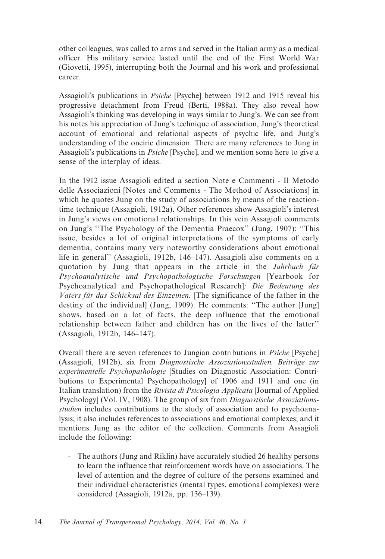other colleagues, was called to arms and served in the Italian army as a medical officer. His military service lasted until the end of the First World War (Giovetti, 1995), interrupting both the Journal and his work and professional career.

Assagioli's publications in Psiche [Psyche] between 1912 and 1915 reveal his progressive detachment from Freud (Berti, 1988a). They also reveal how Assagioli's thinking was developing in ways similar to Jung's. We can see from his notes his appreciation of Jung's technique of association, Jung's theoretical account of emotional and relational aspects of psychic life, and Jung's understanding of the oneiric dimension. There are many references to Jung in Assagioli's publications in Psiche [Psyche], and we mention some here to give a sense of the interplay of ideas.

In the 1912 issue Assagioli edited a section Note e Commenti - Il Metodo delle Associazioni [Notes and Comments - The Method of Associations] in which he quotes Jung on the study of associations by means of the reactiontime technique (Assagioli, 1912a). Other references show Assagioli's interest in Jung's views on emotional relationships. In this vein Assagioli comments on Jung's ''The Psychology of the Dementia Praecox'' (Jung, 1907): ''This issue, besides a lot of original interpretations of the symptoms of early dementia, contains many very noteworthy considerations about emotional life in general'' (Assagioli, 1912b, 146–147). Assagioli also comments on a quotation by Jung that appears in the article in the *Jahrbuch für* Psychoanalytische und Psychopathologische Forschungen [Yearbook for Psychoanalytical and Psychopathological Research]: Die Bedeutung des Vaters für das Schicksal des Einzeinen. [The significance of the father in the destiny of the individual] (Jung, 1909). He comments: ''The author [Jung] shows, based on a lot of facts, the deep influence that the emotional relationship between father and children has on the lives of the latter'' (Assagioli, 1912b, 146–147).

Overall there are seven references to Jungian contributions in Psiche [Psyche] (Assagioli, 1912b), six from Diagnostische Assoziationsstudien. Beiträge zur experimentelle Psychopathologie [Studies on Diagnostic Association: Contributions to Experimental Psychopathology] of 1906 and 1911 and one (in Italian translation) from the Rivista di Psicologia Applicata [Journal of Applied Psychology] (Vol. IV, 1908). The group of six from Diagnostische Assoziationsstudien includes contributions to the study of association and to psychoanalysis; it also includes references to associations and emotional complexes; and it mentions Jung as the editor of the collection. Comments from Assagioli include the following:

- The authors (Jung and Riklin) have accurately studied 26 healthy persons to learn the influence that reinforcement words have on associations. The level of attention and the degree of culture of the persons examined and their individual characteristics (mental types, emotional complexes) were considered (Assagioli, 1912a, pp. 136–139).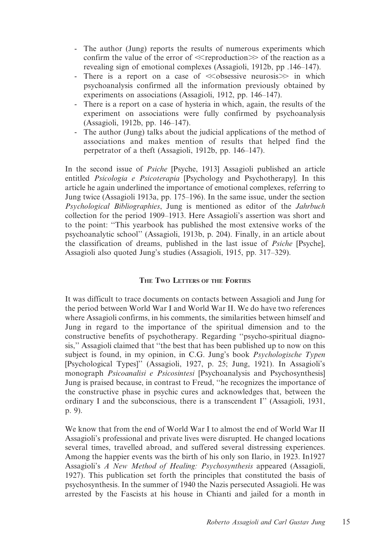- The author (Jung) reports the results of numerous experiments which confirm the value of the error of  $\ll$ reproduction $\gg$  of the reaction as a revealing sign of emotional complexes (Assagioli, 1912b, pp .146–147).
- There is a report on a case of  $\ll$  obsessive neurosis $\gg$  in which psychoanalysis confirmed all the information previously obtained by experiments on associations (Assagioli, 1912, pp. 146–147).
- There is a report on a case of hysteria in which, again, the results of the experiment on associations were fully confirmed by psychoanalysis (Assagioli, 1912b, pp. 146–147).
- The author (Jung) talks about the judicial applications of the method of associations and makes mention of results that helped find the perpetrator of a theft (Assagioli, 1912b, pp. 146–147).

In the second issue of Psiche [Psyche, 1913] Assagioli published an article entitled Psicologia e Psicoterapia [Psychology and Psychotherapy]. In this article he again underlined the importance of emotional complexes, referring to Jung twice (Assagioli 1913a, pp. 175–196). In the same issue, under the section Psychological Bibliographies, Jung is mentioned as editor of the Jahrbuch collection for the period 1909–1913. Here Assagioli's assertion was short and to the point: ''This yearbook has published the most extensive works of the psychoanalytic school'' (Assagioli, 1913b, p. 204). Finally, in an article about the classification of dreams, published in the last issue of Psiche [Psyche], Assagioli also quoted Jung's studies (Assagioli, 1915, pp. 317–329).

### THE TWO LETTERS OF THE FORTIES

It was difficult to trace documents on contacts between Assagioli and Jung for the period between World War I and World War II. We do have two references where Assagioli confirms, in his comments, the similarities between himself and Jung in regard to the importance of the spiritual dimension and to the constructive benefits of psychotherapy. Regarding ''psycho-spiritual diagnosis,'' Assagioli claimed that ''the best that has been published up to now on this subject is found, in my opinion, in C.G. Jung's book Psychologische Typen [Psychological Types]'' (Assagioli, 1927, p. 25; Jung, 1921). In Assagioli's monograph Psicoanalisi e Psicosintesi [Psychoanalysis and Psychosynthesis] Jung is praised because, in contrast to Freud, ''he recognizes the importance of the constructive phase in psychic cures and acknowledges that, between the ordinary I and the subconscious, there is a transcendent I'' (Assagioli, 1931, p. 9).

We know that from the end of World War I to almost the end of World War II Assagioli's professional and private lives were disrupted. He changed locations several times, travelled abroad, and suffered several distressing experiences. Among the happier events was the birth of his only son Ilario, in 1923. In1927 Assagioli's A New Method of Healing: Psychosynthesis appeared (Assagioli, 1927). This publication set forth the principles that constituted the basis of psychosynthesis. In the summer of 1940 the Nazis persecuted Assagioli. He was arrested by the Fascists at his house in Chianti and jailed for a month in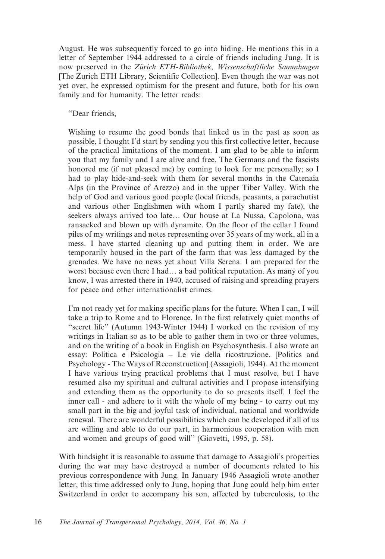August. He was subsequently forced to go into hiding. He mentions this in a letter of September 1944 addressed to a circle of friends including Jung. It is now preserved in the Zürich ETH-Bibliothek, Wissenschaftliche Sammlungen [The Zurich ETH Library, Scientific Collection]. Even though the war was not yet over, he expressed optimism for the present and future, both for his own family and for humanity. The letter reads:

''Dear friends,

Wishing to resume the good bonds that linked us in the past as soon as possible, I thought I'd start by sending you this first collective letter, because of the practical limitations of the moment. I am glad to be able to inform you that my family and I are alive and free. The Germans and the fascists honored me (if not pleased me) by coming to look for me personally; so I had to play hide-and-seek with them for several months in the Catenaia Alps (in the Province of Arezzo) and in the upper Tiber Valley. With the help of God and various good people (local friends, peasants, a parachutist and various other Englishmen with whom I partly shared my fate), the seekers always arrived too late… Our house at La Nussa, Capolona, was ransacked and blown up with dynamite. On the floor of the cellar I found piles of my writings and notes representing over 35 years of my work, all in a mess. I have started cleaning up and putting them in order. We are temporarily housed in the part of the farm that was less damaged by the grenades. We have no news yet about Villa Serena. I am prepared for the worst because even there I had… a bad political reputation. As many of you know, I was arrested there in 1940, accused of raising and spreading prayers for peace and other internationalist crimes.

I'm not ready yet for making specific plans for the future. When I can, I will take a trip to Rome and to Florence. In the first relatively quiet months of "secret life" (Autumn 1943-Winter 1944) I worked on the revision of my writings in Italian so as to be able to gather them in two or three volumes, and on the writing of a book in English on Psychosynthesis. I also wrote an essay: Politica e Psicologia – Le vie della ricostruzione. [Politics and Psychology - The Ways of Reconstruction] (Assagioli, 1944). At the moment I have various trying practical problems that I must resolve, but I have resumed also my spiritual and cultural activities and I propose intensifying and extending them as the opportunity to do so presents itself. I feel the inner call - and adhere to it with the whole of my being - to carry out my small part in the big and joyful task of individual, national and worldwide renewal. There are wonderful possibilities which can be developed if all of us are willing and able to do our part, in harmonious cooperation with men and women and groups of good will'' (Giovetti, 1995, p. 58).

With hindsight it is reasonable to assume that damage to Assagioli's properties during the war may have destroyed a number of documents related to his previous correspondence with Jung. In January 1946 Assagioli wrote another letter, this time addressed only to Jung, hoping that Jung could help him enter Switzerland in order to accompany his son, affected by tuberculosis, to the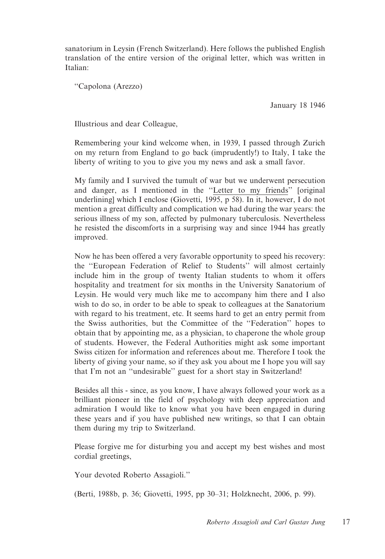sanatorium in Leysin (French Switzerland). Here follows the published English translation of the entire version of the original letter, which was written in Italian:

''Capolona (Arezzo)

January 18 1946

Illustrious and dear Colleague,

Remembering your kind welcome when, in 1939, I passed through Zurich on my return from England to go back (imprudently!) to Italy, I take the liberty of writing to you to give you my news and ask a small favor.

My family and I survived the tumult of war but we underwent persecution and danger, as I mentioned in the ''Letter to my friends'' [original underlining] which I enclose (Giovetti, 1995, p 58). In it, however, I do not mention a great difficulty and complication we had during the war years: the serious illness of my son, affected by pulmonary tuberculosis. Nevertheless he resisted the discomforts in a surprising way and since 1944 has greatly improved.

Now he has been offered a very favorable opportunity to speed his recovery: the ''European Federation of Relief to Students'' will almost certainly include him in the group of twenty Italian students to whom it offers hospitality and treatment for six months in the University Sanatorium of Leysin. He would very much like me to accompany him there and I also wish to do so, in order to be able to speak to colleagues at the Sanatorium with regard to his treatment, etc. It seems hard to get an entry permit from the Swiss authorities, but the Committee of the ''Federation'' hopes to obtain that by appointing me, as a physician, to chaperone the whole group of students. However, the Federal Authorities might ask some important Swiss citizen for information and references about me. Therefore I took the liberty of giving your name, so if they ask you about me I hope you will say that I'm not an ''undesirable'' guest for a short stay in Switzerland!

Besides all this - since, as you know, I have always followed your work as a brilliant pioneer in the field of psychology with deep appreciation and admiration I would like to know what you have been engaged in during these years and if you have published new writings, so that I can obtain them during my trip to Switzerland.

Please forgive me for disturbing you and accept my best wishes and most cordial greetings,

Your devoted Roberto Assagioli.''

(Berti, 1988b, p. 36; Giovetti, 1995, pp 30–31; Holzknecht, 2006, p. 99).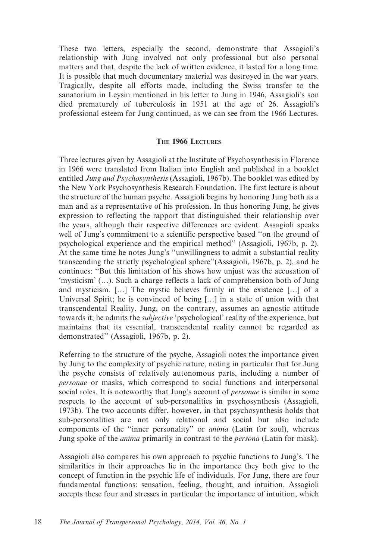These two letters, especially the second, demonstrate that Assagioli's relationship with Jung involved not only professional but also personal matters and that, despite the lack of written evidence, it lasted for a long time. It is possible that much documentary material was destroyed in the war years. Tragically, despite all efforts made, including the Swiss transfer to the sanatorium in Leysin mentioned in his letter to Jung in 1946, Assagioli's son died prematurely of tuberculosis in 1951 at the age of 26. Assagioli's professional esteem for Jung continued, as we can see from the 1966 Lectures.

### THE 1966 LECTURES

Three lectures given by Assagioli at the Institute of Psychosynthesis in Florence in 1966 were translated from Italian into English and published in a booklet entitled Jung and Psychosynthesis (Assagioli, 1967b). The booklet was edited by the New York Psychosynthesis Research Foundation. The first lecture is about the structure of the human psyche. Assagioli begins by honoring Jung both as a man and as a representative of his profession. In thus honoring Jung, he gives expression to reflecting the rapport that distinguished their relationship over the years, although their respective differences are evident. Assagioli speaks well of Jung's commitment to a scientific perspective based ''on the ground of psychological experience and the empirical method'' (Assagioli, 1967b, p. 2). At the same time he notes Jung's ''unwillingness to admit a substantial reality transcending the strictly psychological sphere''(Assagioli, 1967b, p. 2), and he continues: ''But this limitation of his shows how unjust was the accusation of 'mysticism' (…). Such a charge reflects a lack of comprehension both of Jung and mysticism. […] The mystic believes firmly in the existence […] of a Universal Spirit; he is convinced of being […] in a state of union with that transcendental Reality. Jung, on the contrary, assumes an agnostic attitude towards it; he admits the *subjective* 'psychological' reality of the experience, but maintains that its essential, transcendental reality cannot be regarded as demonstrated'' (Assagioli, 1967b, p. 2).

Referring to the structure of the psyche, Assagioli notes the importance given by Jung to the complexity of psychic nature, noting in particular that for Jung the psyche consists of relatively autonomous parts, including a number of personae or masks, which correspond to social functions and interpersonal social roles. It is noteworthy that Jung's account of *personae* is similar in some respects to the account of sub-personalities in psychosynthesis (Assagioli, 1973b). The two accounts differ, however, in that psychosynthesis holds that sub-personalities are not only relational and social but also include components of the "inner personality" or anima (Latin for soul), whereas Jung spoke of the *anima* primarily in contrast to the *persona* (Latin for mask).

Assagioli also compares his own approach to psychic functions to Jung's. The similarities in their approaches lie in the importance they both give to the concept of function in the psychic life of individuals. For Jung, there are four fundamental functions: sensation, feeling, thought, and intuition. Assagioli accepts these four and stresses in particular the importance of intuition, which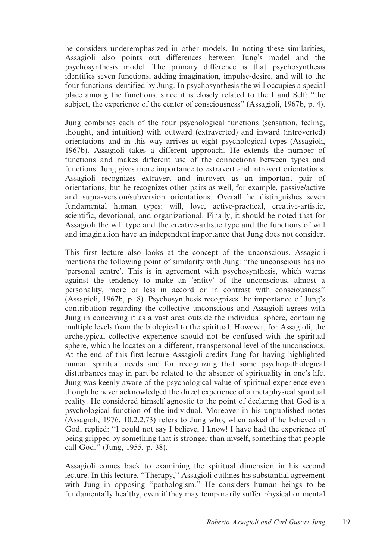he considers underemphasized in other models. In noting these similarities, Assagioli also points out differences between Jung's model and the psychosynthesis model. The primary difference is that psychosynthesis identifies seven functions, adding imagination, impulse-desire, and will to the four functions identified by Jung. In psychosynthesis the will occupies a special place among the functions, since it is closely related to the I and Self: ''the subject, the experience of the center of consciousness'' (Assagioli, 1967b, p. 4).

Jung combines each of the four psychological functions (sensation, feeling, thought, and intuition) with outward (extraverted) and inward (introverted) orientations and in this way arrives at eight psychological types (Assagioli, 1967b). Assagioli takes a different approach. He extends the number of functions and makes different use of the connections between types and functions. Jung gives more importance to extravert and introvert orientations. Assagioli recognizes extravert and introvert as an important pair of orientations, but he recognizes other pairs as well, for example, passive/active and supra-version/subversion orientations. Overall he distinguishes seven fundamental human types: will, love, active-practical, creative-artistic, scientific, devotional, and organizational. Finally, it should be noted that for Assagioli the will type and the creative-artistic type and the functions of will and imagination have an independent importance that Jung does not consider.

This first lecture also looks at the concept of the unconscious. Assagioli mentions the following point of similarity with Jung: ''the unconscious has no 'personal centre'. This is in agreement with psychosynthesis, which warns against the tendency to make an 'entity' of the unconscious, almost a personality, more or less in accord or in contrast with consciousness'' (Assagioli, 1967b, p. 8). Psychosynthesis recognizes the importance of Jung's contribution regarding the collective unconscious and Assagioli agrees with Jung in conceiving it as a vast area outside the individual sphere, containing multiple levels from the biological to the spiritual. However, for Assagioli, the archetypical collective experience should not be confused with the spiritual sphere, which he locates on a different, transpersonal level of the unconscious. At the end of this first lecture Assagioli credits Jung for having highlighted human spiritual needs and for recognizing that some psychopathological disturbances may in part be related to the absence of spirituality in one's life. Jung was keenly aware of the psychological value of spiritual experience even though he never acknowledged the direct experience of a metaphysical spiritual reality. He considered himself agnostic to the point of declaring that God is a psychological function of the individual. Moreover in his unpublished notes (Assagioli, 1976, 10.2.2,73) refers to Jung who, when asked if he believed in God, replied: ''I could not say I believe, I know! I have had the experience of being gripped by something that is stronger than myself, something that people call God.'' (Jung, 1955, p. 38).

Assagioli comes back to examining the spiritual dimension in his second lecture. In this lecture, "Therapy," Assagioli outlines his substantial agreement with Jung in opposing ''pathologism.'' He considers human beings to be fundamentally healthy, even if they may temporarily suffer physical or mental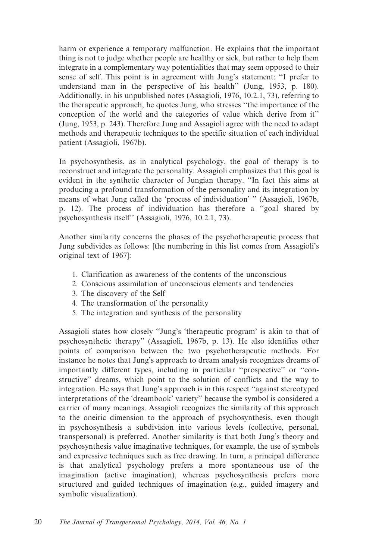harm or experience a temporary malfunction. He explains that the important thing is not to judge whether people are healthy or sick, but rather to help them integrate in a complementary way potentialities that may seem opposed to their sense of self. This point is in agreement with Jung's statement: ''I prefer to understand man in the perspective of his health'' (Jung, 1953, p. 180). Additionally, in his unpublished notes (Assagioli, 1976, 10.2.1, 73), referring to the therapeutic approach, he quotes Jung, who stresses ''the importance of the conception of the world and the categories of value which derive from it'' (Jung, 1953, p. 243). Therefore Jung and Assagioli agree with the need to adapt methods and therapeutic techniques to the specific situation of each individual patient (Assagioli, 1967b).

In psychosynthesis, as in analytical psychology, the goal of therapy is to reconstruct and integrate the personality. Assagioli emphasizes that this goal is evident in the synthetic character of Jungian therapy. ''In fact this aims at producing a profound transformation of the personality and its integration by means of what Jung called the 'process of individuation' '' (Assagioli, 1967b, p. 12). The process of individuation has therefore a ''goal shared by psychosynthesis itself'' (Assagioli, 1976, 10.2.1, 73).

Another similarity concerns the phases of the psychotherapeutic process that Jung subdivides as follows: [the numbering in this list comes from Assagioli's original text of 1967]:

- 1. Clarification as awareness of the contents of the unconscious
- 2. Conscious assimilation of unconscious elements and tendencies
- 3. The discovery of the Self
- 4. The transformation of the personality
- 5. The integration and synthesis of the personality

Assagioli states how closely ''Jung's 'therapeutic program' is akin to that of psychosynthetic therapy'' (Assagioli, 1967b, p. 13). He also identifies other points of comparison between the two psychotherapeutic methods. For instance he notes that Jung's approach to dream analysis recognizes dreams of importantly different types, including in particular ''prospective'' or ''constructive'' dreams, which point to the solution of conflicts and the way to integration. He says that Jung's approach is in this respect ''against stereotyped interpretations of the 'dreambook' variety'' because the symbol is considered a carrier of many meanings. Assagioli recognizes the similarity of this approach to the oneiric dimension to the approach of psychosynthesis, even though in psychosynthesis a subdivision into various levels (collective, personal, transpersonal) is preferred. Another similarity is that both Jung's theory and psychosynthesis value imaginative techniques, for example, the use of symbols and expressive techniques such as free drawing. In turn, a principal difference is that analytical psychology prefers a more spontaneous use of the imagination (active imagination), whereas psychosynthesis prefers more structured and guided techniques of imagination (e.g., guided imagery and symbolic visualization).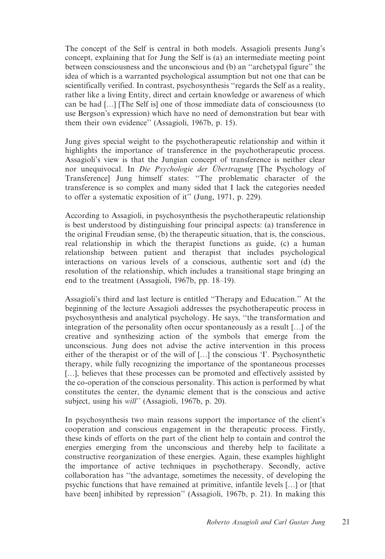The concept of the Self is central in both models. Assagioli presents Jung's concept, explaining that for Jung the Self is (a) an intermediate meeting point between consciousness and the unconscious and (b) an ''archetypal figure'' the idea of which is a warranted psychological assumption but not one that can be scientifically verified. In contrast, psychosynthesis ''regards the Self as a reality, rather like a living Entity, direct and certain knowledge or awareness of which can be had […] [The Self is] one of those immediate data of consciousness (to use Bergson's expression) which have no need of demonstration but bear with them their own evidence'' (Assagioli, 1967b, p. 15).

Jung gives special weight to the psychotherapeutic relationship and within it highlights the importance of transference in the psychotherapeutic process. Assagioli's view is that the Jungian concept of transference is neither clear nor unequivocal. In Die Psychologie der Übertragung [The Psychology of Transference] Jung himself states: ''The problematic character of the transference is so complex and many sided that I lack the categories needed to offer a systematic exposition of it'' (Jung, 1971, p. 229).

According to Assagioli, in psychosynthesis the psychotherapeutic relationship is best understood by distinguishing four principal aspects: (a) transference in the original Freudian sense, (b) the therapeutic situation, that is, the conscious, real relationship in which the therapist functions as guide, (c) a human relationship between patient and therapist that includes psychological interactions on various levels of a conscious, authentic sort and (d) the resolution of the relationship, which includes a transitional stage bringing an end to the treatment (Assagioli, 1967b, pp. 18–19).

Assagioli's third and last lecture is entitled ''Therapy and Education.'' At the beginning of the lecture Assagioli addresses the psychotherapeutic process in psychosynthesis and analytical psychology. He says, ''the transformation and integration of the personality often occur spontaneously as a result […] of the creative and synthesizing action of the symbols that emerge from the unconscious. Jung does not advise the active intervention in this process either of the therapist or of the will of […] the conscious 'I'. Psychosynthetic therapy, while fully recognizing the importance of the spontaneous processes [...], believes that these processes can be promoted and effectively assisted by the co-operation of the conscious personality. This action is performed by what constitutes the center, the dynamic element that is the conscious and active subject, using his will'' (Assagioli, 1967b, p. 20).

In psychosynthesis two main reasons support the importance of the client's cooperation and conscious engagement in the therapeutic process. Firstly, these kinds of efforts on the part of the client help to contain and control the energies emerging from the unconscious and thereby help to facilitate a constructive reorganization of these energies. Again, these examples highlight the importance of active techniques in psychotherapy. Secondly, active collaboration has ''the advantage, sometimes the necessity, of developing the psychic functions that have remained at primitive, infantile levels […] or [that have been] inhibited by repression" (Assagioli, 1967b, p. 21). In making this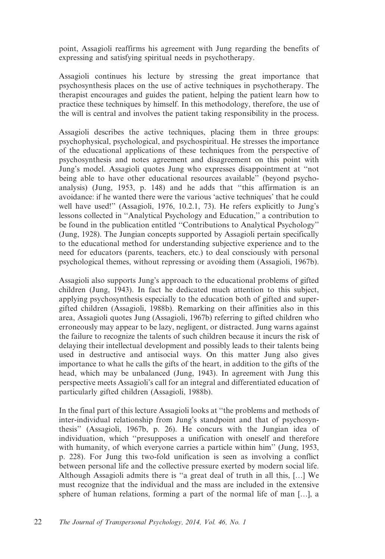point, Assagioli reaffirms his agreement with Jung regarding the benefits of expressing and satisfying spiritual needs in psychotherapy.

Assagioli continues his lecture by stressing the great importance that psychosynthesis places on the use of active techniques in psychotherapy. The therapist encourages and guides the patient, helping the patient learn how to practice these techniques by himself. In this methodology, therefore, the use of the will is central and involves the patient taking responsibility in the process.

Assagioli describes the active techniques, placing them in three groups: psychophysical, psychological, and psychospiritual. He stresses the importance of the educational applications of these techniques from the perspective of psychosynthesis and notes agreement and disagreement on this point with Jung's model. Assagioli quotes Jung who expresses disappointment at ''not being able to have other educational resources available'' (beyond psychoanalysis) (Jung, 1953, p. 148) and he adds that ''this affirmation is an avoidance: if he wanted there were the various 'active techniques' that he could well have used!'' (Assagioli, 1976, 10.2.1, 73). He refers explicitly to Jung's lessons collected in ''Analytical Psychology and Education,'' a contribution to be found in the publication entitled ''Contributions to Analytical Psychology'' (Jung, 1928). The Jungian concepts supported by Assagioli pertain specifically to the educational method for understanding subjective experience and to the need for educators (parents, teachers, etc.) to deal consciously with personal psychological themes, without repressing or avoiding them (Assagioli, 1967b).

Assagioli also supports Jung's approach to the educational problems of gifted children (Jung, 1943). In fact he dedicated much attention to this subject, applying psychosynthesis especially to the education both of gifted and supergifted children (Assagioli, 1988b). Remarking on their affinities also in this area, Assagioli quotes Jung (Assagioli, 1967b) referring to gifted children who erroneously may appear to be lazy, negligent, or distracted. Jung warns against the failure to recognize the talents of such children because it incurs the risk of delaying their intellectual development and possibly leads to their talents being used in destructive and antisocial ways. On this matter Jung also gives importance to what he calls the gifts of the heart, in addition to the gifts of the head, which may be unbalanced (Jung, 1943). In agreement with Jung this perspective meets Assagioli's call for an integral and differentiated education of particularly gifted children (Assagioli, 1988b).

In the final part of this lecture Assagioli looks at ''the problems and methods of inter-individual relationship from Jung's standpoint and that of psychosynthesis'' (Assagioli, 1967b, p. 26). He concurs with the Jungian idea of individuation, which ''presupposes a unification with oneself and therefore with humanity, of which everyone carries a particle within him" (Jung, 1953, p. 228). For Jung this two-fold unification is seen as involving a conflict between personal life and the collective pressure exerted by modern social life. Although Assagioli admits there is ''a great deal of truth in all this, […] We must recognize that the individual and the mass are included in the extensive sphere of human relations, forming a part of the normal life of man […], a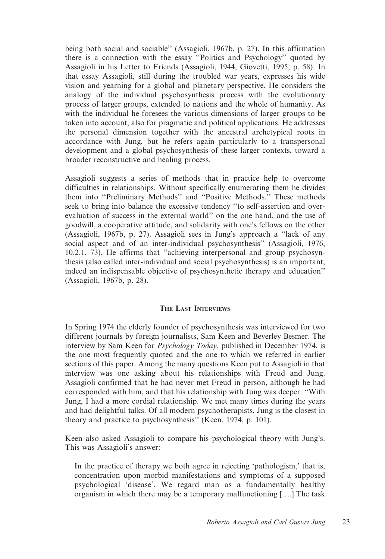being both social and sociable'' (Assagioli, 1967b, p. 27). In this affirmation there is a connection with the essay ''Politics and Psychology'' quoted by Assagioli in his Letter to Friends (Assagioli, 1944; Giovetti, 1995, p. 58). In that essay Assagioli, still during the troubled war years, expresses his wide vision and yearning for a global and planetary perspective. He considers the analogy of the individual psychosynthesis process with the evolutionary process of larger groups, extended to nations and the whole of humanity. As with the individual he foresees the various dimensions of larger groups to be taken into account, also for pragmatic and political applications. He addresses the personal dimension together with the ancestral archetypical roots in accordance with Jung, but he refers again particularly to a transpersonal development and a global psychosynthesis of these larger contexts, toward a broader reconstructive and healing process.

Assagioli suggests a series of methods that in practice help to overcome difficulties in relationships. Without specifically enumerating them he divides them into ''Preliminary Methods'' and ''Positive Methods.'' These methods seek to bring into balance the excessive tendency ''to self-assertion and overevaluation of success in the external world'' on the one hand, and the use of goodwill, a cooperative attitude, and solidarity with one's fellows on the other (Assagioli, 1967b, p. 27). Assagioli sees in Jung's approach a ''lack of any social aspect and of an inter-individual psychosynthesis'' (Assagioli, 1976, 10.2.1, 73). He affirms that ''achieving interpersonal and group psychosynthesis (also called inter-individual and social psychosynthesis) is an important, indeed an indispensable objective of psychosynthetic therapy and education'' (Assagioli, 1967b, p. 28).

### THE LAST INTERVIEWS

In Spring 1974 the elderly founder of psychosynthesis was interviewed for two different journals by foreign journalists, Sam Keen and Beverley Besmer. The interview by Sam Keen for *Psychology Today*, published in December 1974, is the one most frequently quoted and the one to which we referred in earlier sections of this paper. Among the many questions Keen put to Assagioli in that interview was one asking about his relationships with Freud and Jung. Assagioli confirmed that he had never met Freud in person, although he had corresponded with him, and that his relationship with Jung was deeper: ''With Jung, I had a more cordial relationship. We met many times during the years and had delightful talks. Of all modern psychotherapists, Jung is the closest in theory and practice to psychosynthesis'' (Keen, 1974, p. 101).

Keen also asked Assagioli to compare his psychological theory with Jung's. This was Assagioli's answer:

In the practice of therapy we both agree in rejecting 'pathologism,' that is, concentration upon morbid manifestations and symptoms of a supposed psychological 'disease'. We regard man as a fundamentally healthy organism in which there may be a temporary malfunctioning [….] The task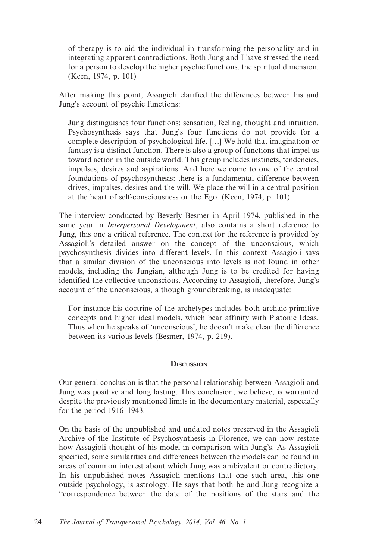of therapy is to aid the individual in transforming the personality and in integrating apparent contradictions. Both Jung and I have stressed the need for a person to develop the higher psychic functions, the spiritual dimension. (Keen, 1974, p. 101)

After making this point, Assagioli clarified the differences between his and Jung's account of psychic functions:

Jung distinguishes four functions: sensation, feeling, thought and intuition. Psychosynthesis says that Jung's four functions do not provide for a complete description of psychological life. […] We hold that imagination or fantasy is a distinct function. There is also a group of functions that impel us toward action in the outside world. This group includes instincts, tendencies, impulses, desires and aspirations. And here we come to one of the central foundations of psychosynthesis: there is a fundamental difference between drives, impulses, desires and the will. We place the will in a central position at the heart of self-consciousness or the Ego. (Keen, 1974, p. 101)

The interview conducted by Beverly Besmer in April 1974, published in the same year in *Interpersonal Development*, also contains a short reference to Jung, this one a critical reference. The context for the reference is provided by Assagioli's detailed answer on the concept of the unconscious, which psychosynthesis divides into different levels. In this context Assagioli says that a similar division of the unconscious into levels is not found in other models, including the Jungian, although Jung is to be credited for having identified the collective unconscious. According to Assagioli, therefore, Jung's account of the unconscious, although groundbreaking, is inadequate:

For instance his doctrine of the archetypes includes both archaic primitive concepts and higher ideal models, which bear affinity with Platonic Ideas. Thus when he speaks of 'unconscious', he doesn't make clear the difference between its various levels (Besmer, 1974, p. 219).

### **DISCUSSION**

Our general conclusion is that the personal relationship between Assagioli and Jung was positive and long lasting. This conclusion, we believe, is warranted despite the previously mentioned limits in the documentary material, especially for the period 1916–1943.

On the basis of the unpublished and undated notes preserved in the Assagioli Archive of the Institute of Psychosynthesis in Florence, we can now restate how Assagioli thought of his model in comparison with Jung's. As Assagioli specified, some similarities and differences between the models can be found in areas of common interest about which Jung was ambivalent or contradictory. In his unpublished notes Assagioli mentions that one such area, this one outside psychology, is astrology. He says that both he and Jung recognize a ''correspondence between the date of the positions of the stars and the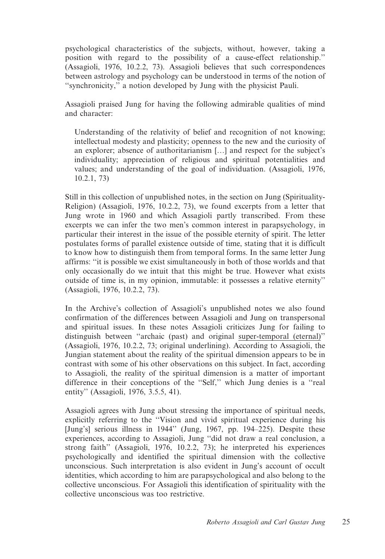psychological characteristics of the subjects, without, however, taking a position with regard to the possibility of a cause-effect relationship.'' (Assagioli, 1976, 10.2.2, 73). Assagioli believes that such correspondences between astrology and psychology can be understood in terms of the notion of ''synchronicity,'' a notion developed by Jung with the physicist Pauli.

Assagioli praised Jung for having the following admirable qualities of mind and character:

Understanding of the relativity of belief and recognition of not knowing; intellectual modesty and plasticity; openness to the new and the curiosity of an explorer; absence of authoritarianism […] and respect for the subject's individuality; appreciation of religious and spiritual potentialities and values; and understanding of the goal of individuation. (Assagioli, 1976, 10.2.1, 73)

Still in this collection of unpublished notes, in the section on Jung (Spirituality-Religion) (Assagioli, 1976, 10.2.2, 73), we found excerpts from a letter that Jung wrote in 1960 and which Assagioli partly transcribed. From these excerpts we can infer the two men's common interest in parapsychology, in particular their interest in the issue of the possible eternity of spirit. The letter postulates forms of parallel existence outside of time, stating that it is difficult to know how to distinguish them from temporal forms. In the same letter Jung affirms: ''it is possible we exist simultaneously in both of those worlds and that only occasionally do we intuit that this might be true. However what exists outside of time is, in my opinion, immutable: it possesses a relative eternity'' (Assagioli, 1976, 10.2.2, 73).

In the Archive's collection of Assagioli's unpublished notes we also found confirmation of the differences between Assagioli and Jung on transpersonal and spiritual issues. In these notes Assagioli criticizes Jung for failing to distinguish between ''archaic (past) and original super-temporal (eternal)'' (Assagioli, 1976, 10.2.2, 73; original underlining). According to Assagioli, the Jungian statement about the reality of the spiritual dimension appears to be in contrast with some of his other observations on this subject. In fact, according to Assagioli, the reality of the spiritual dimension is a matter of important difference in their conceptions of the ''Self,'' which Jung denies is a ''real entity'' (Assagioli, 1976, 3.5.5, 41).

Assagioli agrees with Jung about stressing the importance of spiritual needs, explicitly referring to the ''Vision and vivid spiritual experience during his [Jung's] serious illness in 1944" (Jung, 1967, pp. 194–225). Despite these experiences, according to Assagioli, Jung ''did not draw a real conclusion, a strong faith'' (Assagioli, 1976, 10.2.2, 73); he interpreted his experiences psychologically and identified the spiritual dimension with the collective unconscious. Such interpretation is also evident in Jung's account of occult identities, which according to him are parapsychological and also belong to the collective unconscious. For Assagioli this identification of spirituality with the collective unconscious was too restrictive.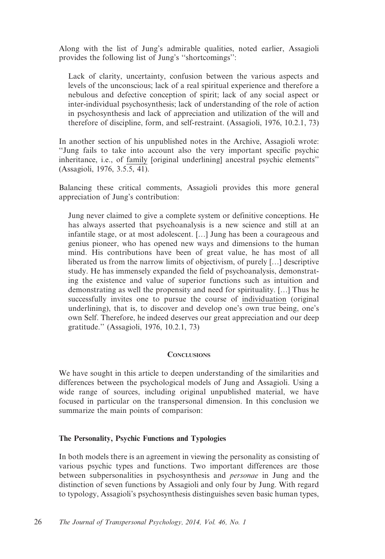Along with the list of Jung's admirable qualities, noted earlier, Assagioli provides the following list of Jung's ''shortcomings'':

Lack of clarity, uncertainty, confusion between the various aspects and levels of the unconscious; lack of a real spiritual experience and therefore a nebulous and defective conception of spirit; lack of any social aspect or inter-individual psychosynthesis; lack of understanding of the role of action in psychosynthesis and lack of appreciation and utilization of the will and therefore of discipline, form, and self-restraint. (Assagioli, 1976, 10.2.1, 73)

In another section of his unpublished notes in the Archive, Assagioli wrote: ''Jung fails to take into account also the very important specific psychic inheritance, i.e., of family [original underlining] ancestral psychic elements'' (Assagioli, 1976, 3.5.5, 41).

Balancing these critical comments, Assagioli provides this more general appreciation of Jung's contribution:

Jung never claimed to give a complete system or definitive conceptions. He has always asserted that psychoanalysis is a new science and still at an infantile stage, or at most adolescent. […] Jung has been a courageous and genius pioneer, who has opened new ways and dimensions to the human mind. His contributions have been of great value, he has most of all liberated us from the narrow limits of objectivism, of purely […] descriptive study. He has immensely expanded the field of psychoanalysis, demonstrating the existence and value of superior functions such as intuition and demonstrating as well the propensity and need for spirituality. […] Thus he successfully invites one to pursue the course of individuation (original underlining), that is, to discover and develop one's own true being, one's own Self. Therefore, he indeed deserves our great appreciation and our deep gratitude.'' (Assagioli, 1976, 10.2.1, 73)

#### **CONCLUSIONS**

We have sought in this article to deepen understanding of the similarities and differences between the psychological models of Jung and Assagioli. Using a wide range of sources, including original unpublished material, we have focused in particular on the transpersonal dimension. In this conclusion we summarize the main points of comparison:

### The Personality, Psychic Functions and Typologies

In both models there is an agreement in viewing the personality as consisting of various psychic types and functions. Two important differences are those between subpersonalities in psychosynthesis and personae in Jung and the distinction of seven functions by Assagioli and only four by Jung. With regard to typology, Assagioli's psychosynthesis distinguishes seven basic human types,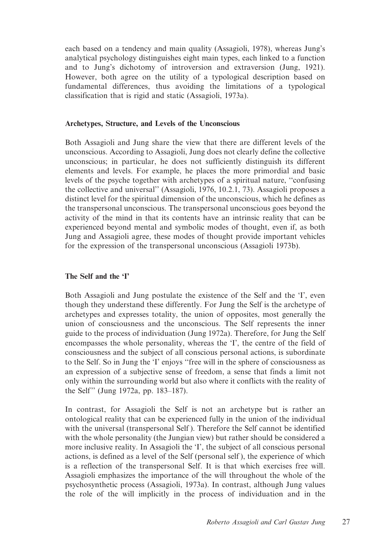each based on a tendency and main quality (Assagioli, 1978), whereas Jung's analytical psychology distinguishes eight main types, each linked to a function and to Jung's dichotomy of introversion and extraversion (Jung, 1921). However, both agree on the utility of a typological description based on fundamental differences, thus avoiding the limitations of a typological classification that is rigid and static (Assagioli, 1973a).

#### Archetypes, Structure, and Levels of the Unconscious

Both Assagioli and Jung share the view that there are different levels of the unconscious. According to Assagioli, Jung does not clearly define the collective unconscious; in particular, he does not sufficiently distinguish its different elements and levels. For example, he places the more primordial and basic levels of the psyche together with archetypes of a spiritual nature, ''confusing the collective and universal'' (Assagioli, 1976, 10.2.1, 73). Assagioli proposes a distinct level for the spiritual dimension of the unconscious, which he defines as the transpersonal unconscious. The transpersonal unconscious goes beyond the activity of the mind in that its contents have an intrinsic reality that can be experienced beyond mental and symbolic modes of thought, even if, as both Jung and Assagioli agree, these modes of thought provide important vehicles for the expression of the transpersonal unconscious (Assagioli 1973b).

### The Self and the 'I'

Both Assagioli and Jung postulate the existence of the Self and the 'I', even though they understand these differently. For Jung the Self is the archetype of archetypes and expresses totality, the union of opposites, most generally the union of consciousness and the unconscious. The Self represents the inner guide to the process of individuation (Jung 1972a). Therefore, for Jung the Self encompasses the whole personality, whereas the 'I', the centre of the field of consciousness and the subject of all conscious personal actions, is subordinate to the Self. So in Jung the 'I' enjoys ''free will in the sphere of consciousness as an expression of a subjective sense of freedom, a sense that finds a limit not only within the surrounding world but also where it conflicts with the reality of the Self'' (Jung 1972a, pp. 183–187).

In contrast, for Assagioli the Self is not an archetype but is rather an ontological reality that can be experienced fully in the union of the individual with the universal (transpersonal Self). Therefore the Self cannot be identified with the whole personality (the Jungian view) but rather should be considered a more inclusive reality. In Assagioli the 'I', the subject of all conscious personal actions, is defined as a level of the Self (personal self ), the experience of which is a reflection of the transpersonal Self. It is that which exercises free will. Assagioli emphasizes the importance of the will throughout the whole of the psychosynthetic process (Assagioli, 1973a). In contrast, although Jung values the role of the will implicitly in the process of individuation and in the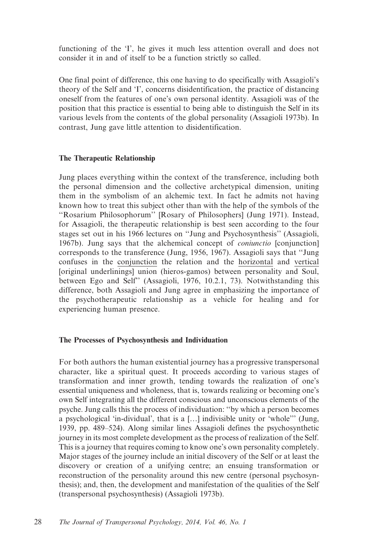functioning of the 'I', he gives it much less attention overall and does not consider it in and of itself to be a function strictly so called.

One final point of difference, this one having to do specifically with Assagioli's theory of the Self and 'I', concerns disidentification, the practice of distancing oneself from the features of one's own personal identity. Assagioli was of the position that this practice is essential to being able to distinguish the Self in its various levels from the contents of the global personality (Assagioli 1973b). In contrast, Jung gave little attention to disidentification.

### The Therapeutic Relationship

Jung places everything within the context of the transference, including both the personal dimension and the collective archetypical dimension, uniting them in the symbolism of an alchemic text. In fact he admits not having known how to treat this subject other than with the help of the symbols of the ''Rosarium Philosophorum'' [Rosary of Philosophers] (Jung 1971). Instead, for Assagioli, the therapeutic relationship is best seen according to the four stages set out in his 1966 lectures on ''Jung and Psychosynthesis'' (Assagioli, 1967b). Jung says that the alchemical concept of coniunctio [conjunction] corresponds to the transference (Jung, 1956, 1967). Assagioli says that ''Jung confuses in the conjunction the relation and the horizontal and vertical [original underlinings] union (hieros-gamos) between personality and Soul, between Ego and Self'' (Assagioli, 1976, 10.2.1, 73). Notwithstanding this difference, both Assagioli and Jung agree in emphasizing the importance of the psychotherapeutic relationship as a vehicle for healing and for experiencing human presence.

#### The Processes of Psychosynthesis and Individuation

For both authors the human existential journey has a progressive transpersonal character, like a spiritual quest. It proceeds according to various stages of transformation and inner growth, tending towards the realization of one's essential uniqueness and wholeness, that is, towards realizing or becoming one's own Self integrating all the different conscious and unconscious elements of the psyche. Jung calls this the process of individuation: ''by which a person becomes a psychological 'in-dividual', that is a […] indivisible unity or 'whole''' (Jung, 1939, pp. 489–524). Along similar lines Assagioli defines the psychosynthetic journey in its most complete development as the process of realization of the Self. This is a journey that requires coming to know one's own personality completely. Major stages of the journey include an initial discovery of the Self or at least the discovery or creation of a unifying centre; an ensuing transformation or reconstruction of the personality around this new centre (personal psychosynthesis); and, then, the development and manifestation of the qualities of the Self (transpersonal psychosynthesis) (Assagioli 1973b).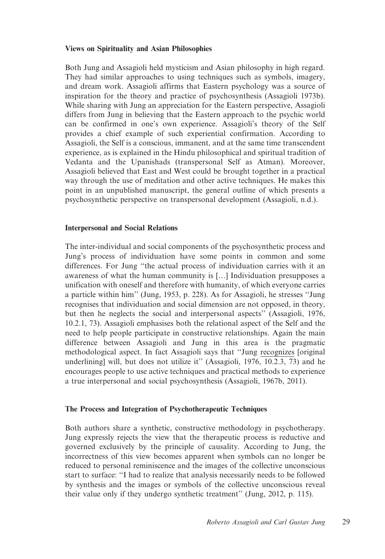### Views on Spirituality and Asian Philosophies

Both Jung and Assagioli held mysticism and Asian philosophy in high regard. They had similar approaches to using techniques such as symbols, imagery, and dream work. Assagioli affirms that Eastern psychology was a source of inspiration for the theory and practice of psychosynthesis (Assagioli 1973b). While sharing with Jung an appreciation for the Eastern perspective, Assagioli differs from Jung in believing that the Eastern approach to the psychic world can be confirmed in one's own experience. Assagioli's theory of the Self provides a chief example of such experiential confirmation. According to Assagioli, the Self is a conscious, immanent, and at the same time transcendent experience, as is explained in the Hindu philosophical and spiritual tradition of Vedanta and the Upanishads (transpersonal Self as Atman). Moreover, Assagioli believed that East and West could be brought together in a practical way through the use of meditation and other active techniques. He makes this point in an unpublished manuscript, the general outline of which presents a psychosynthetic perspective on transpersonal development (Assagioli, n.d.).

### Interpersonal and Social Relations

The inter-individual and social components of the psychosynthetic process and Jung's process of individuation have some points in common and some differences. For Jung ''the actual process of individuation carries with it an awareness of what the human community is […] Individuation presupposes a unification with oneself and therefore with humanity, of which everyone carries a particle within him'' (Jung, 1953, p. 228). As for Assagioli, he stresses ''Jung recognises that individuation and social dimension are not opposed, in theory, but then he neglects the social and interpersonal aspects'' (Assagioli, 1976, 10.2.1, 73). Assagioli emphasises both the relational aspect of the Self and the need to help people participate in constructive relationships. Again the main difference between Assagioli and Jung in this area is the pragmatic methodological aspect. In fact Assagioli says that ''Jung recognizes [original underlining] will, but does not utilize it'' (Assagioli, 1976, 10.2.3, 73) and he encourages people to use active techniques and practical methods to experience a true interpersonal and social psychosynthesis (Assagioli, 1967b, 2011).

### The Process and Integration of Psychotherapeutic Techniques

Both authors share a synthetic, constructive methodology in psychotherapy. Jung expressly rejects the view that the therapeutic process is reductive and governed exclusively by the principle of causality. According to Jung, the incorrectness of this view becomes apparent when symbols can no longer be reduced to personal reminiscence and the images of the collective unconscious start to surface: ''I had to realize that analysis necessarily needs to be followed by synthesis and the images or symbols of the collective unconscious reveal their value only if they undergo synthetic treatment'' (Jung, 2012, p. 115).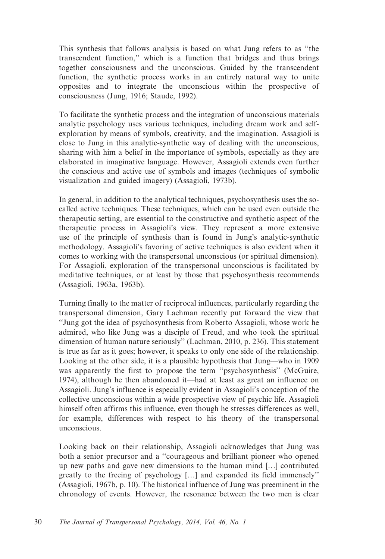This synthesis that follows analysis is based on what Jung refers to as ''the transcendent function,'' which is a function that bridges and thus brings together consciousness and the unconscious. Guided by the transcendent function, the synthetic process works in an entirely natural way to unite opposites and to integrate the unconscious within the prospective of consciousness (Jung, 1916; Staude, 1992).

To facilitate the synthetic process and the integration of unconscious materials analytic psychology uses various techniques, including dream work and selfexploration by means of symbols, creativity, and the imagination. Assagioli is close to Jung in this analytic-synthetic way of dealing with the unconscious, sharing with him a belief in the importance of symbols, especially as they are elaborated in imaginative language. However, Assagioli extends even further the conscious and active use of symbols and images (techniques of symbolic visualization and guided imagery) (Assagioli, 1973b).

In general, in addition to the analytical techniques, psychosynthesis uses the socalled active techniques. These techniques, which can be used even outside the therapeutic setting, are essential to the constructive and synthetic aspect of the therapeutic process in Assagioli's view. They represent a more extensive use of the principle of synthesis than is found in Jung's analytic-synthetic methodology. Assagioli's favoring of active techniques is also evident when it comes to working with the transpersonal unconscious (or spiritual dimension). For Assagioli, exploration of the transpersonal unconscious is facilitated by meditative techniques, or at least by those that psychosynthesis recommends (Assagioli, 1963a, 1963b).

Turning finally to the matter of reciprocal influences, particularly regarding the transpersonal dimension, Gary Lachman recently put forward the view that ''Jung got the idea of psychosynthesis from Roberto Assagioli, whose work he admired, who like Jung was a disciple of Freud, and who took the spiritual dimension of human nature seriously'' (Lachman, 2010, p. 236). This statement is true as far as it goes; however, it speaks to only one side of the relationship. Looking at the other side, it is a plausible hypothesis that Jung—who in 1909 was apparently the first to propose the term ''psychosynthesis'' (McGuire, 1974), although he then abandoned it—had at least as great an influence on Assagioli. Jung's influence is especially evident in Assagioli's conception of the collective unconscious within a wide prospective view of psychic life. Assagioli himself often affirms this influence, even though he stresses differences as well, for example, differences with respect to his theory of the transpersonal unconscious.

Looking back on their relationship, Assagioli acknowledges that Jung was both a senior precursor and a ''courageous and brilliant pioneer who opened up new paths and gave new dimensions to the human mind […] contributed greatly to the freeing of psychology […] and expanded its field immensely'' (Assagioli, 1967b, p. 10). The historical influence of Jung was preeminent in the chronology of events. However, the resonance between the two men is clear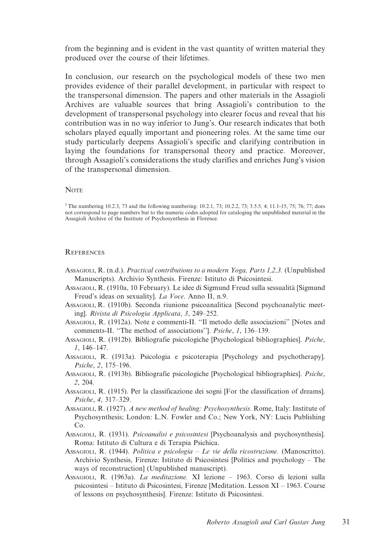from the beginning and is evident in the vast quantity of written material they produced over the course of their lifetimes.

In conclusion, our research on the psychological models of these two men provides evidence of their parallel development, in particular with respect to the transpersonal dimension. The papers and other materials in the Assagioli Archives are valuable sources that bring Assagioli's contribution to the development of transpersonal psychology into clearer focus and reveal that his contribution was in no way inferior to Jung's. Our research indicates that both scholars played equally important and pioneering roles. At the same time our study particularly deepens Assagioli's specific and clarifying contribution in laying the foundations for transpersonal theory and practice. Moreover, through Assagioli's considerations the study clarifies and enriches Jung's vision of the transpersonal dimension.

#### **NOTE**

1The numbering 10.2.3, 73 and the following numbering: 10.2.1, 73; 10.2.2, 73; 3.5.5, 4; 11.1-15, 75; 76; 77; does not correspond to page numbers but to the numeric codes adopted for cataloging the unpublished material in the Assagioli Archive of the Institute of Psychosynthesis in Florence.

#### **REFERENCES**

- ASSAGIOLI, R. (n.d.). Practical contributions to a modern Yoga, Parts 1,2,3. (Unpublished Manuscripts). Archivio Synthesis. Firenze: Istituto di Psicosintesi.
- AssaGIOLI, R. (1910a, 10 February). Le idee di Sigmund Freud sulla sessualità [Sigmund Freud's ideas on sexuality]. La Voce. Anno II, n.9.
- ASSAGIOLI, R. (1910b). Seconda riunione psicoanalitica [Second psychoanalytic meeting]. Rivista di Psicologia Applicata, 3, 249–252.

ASSAGIOLI, R. (1912a). Note e commenti-II. ''Il metodo delle associazioni'' [Notes and comments-II. ''The method of associations'']. Psiche, 1, 136–139.

- ASSAGIOLI, R. (1912b). Bibliografie psicologiche [Psychological bibliographies]. Psiche, 1, 146–147.
- ASSAGIOLI, R. (1913a). Psicologia e psicoterapia [Psychology and psychotherapy]. Psiche, 2, 175–196.
- ASSAGIOLI, R. (1913b). Bibliografie psicologiche [Psychological bibliographies]. Psiche, 2, 204.
- ASSAGIOLI, R. (1915). Per la classificazione dei sogni [For the classification of dreams]. Psiche, 4, 317–329.
- ASSAGIOLI, R. (1927). A new method of healing: Psychosynthesis. Rome, Italy: Institute of Psychosynthesis; London: L.N. Fowler and Co.; New York, NY: Lucis Publishing Co.
- AssaGIOLI, R. (1931). Psicoanalisi e psicosintesi [Psychoanalysis and psychosynthesis]. Roma: Istituto di Cultura e di Terapia Psichica.
- ASSAGIOLI, R. (1944). Politica e psicologia Le vie della ricostruzione. (Manoscritto). Archivio Synthesis, Firenze: Istituto di Psicosintesi [Politics and psychology – The ways of reconstruction] (Unpublished manuscript).
- ASSAGIOLI, R. (1963a). La meditazione. XI lezione 1963. Corso di lezioni sulla psicosintesi – Istituto di Psicosintesi, Firenze [Meditation. Lesson XI – 1963. Course of lessons on psychosynthesis]. Firenze: Istituto di Psicosintesi.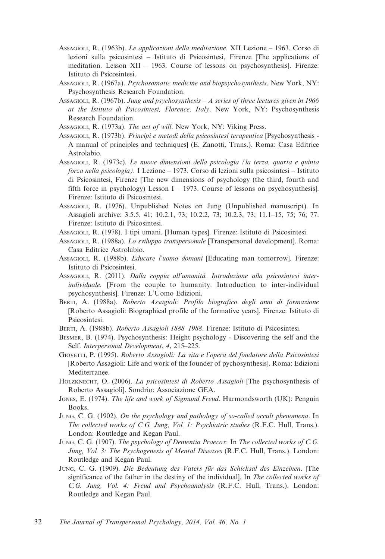- ASSAGIOLI, R. (1963b). Le applicazioni della meditazione. XII Lezione 1963. Corso di lezioni sulla psicosintesi – Istituto di Psicosintesi, Firenze [The applications of meditation. Lesson XII – 1963. Course of lessons on psychosynthesis]. Firenze: Istituto di Psicosintesi.
- ASSAGIOLI, R. (1967a). Psychosomatic medicine and biopsychosynthesis. New York, NY: Psychosynthesis Research Foundation.
- ASSAGIOLI, R. (1967b). Jung and psychosynthesis A series of three lectures given in 1966 at the Istituto di Psicosintesi, Florence, Italy. New York, NY: Psychosynthesis Research Foundation.
- Assagioli, R. (1973a). The act of will. New York, NY: Viking Press.
- ASSAGIOLI, R. (1973b). Principi e metodi della psicosintesi terapeutica [Psychosynthesis A manual of principles and techniques] (E. Zanotti, Trans.). Roma: Casa Editrice Astrolabio.
- ASSAGIOLI, R. (1973c). Le nuove dimensioni della psicologia (la terza, quarta e quinta forza nella psicologia). I Lezione – 1973. Corso di lezioni sulla psicosintesi – Istituto di Psicosintesi, Firenze [The new dimensions of psychology (the third, fourth and fifth force in psychology) Lesson I – 1973. Course of lessons on psychosynthesis. Firenze: Istituto di Psicosintesi.
- ASSAGIOLI, R. (1976). Unpublished Notes on Jung (Unpublished manuscript). In Assagioli archive: 3.5.5, 41; 10.2.1, 73; 10.2.2, 73; 10.2.3, 73; 11.1–15, 75; 76; 77. Firenze: Istituto di Psicosintesi.
- ASSAGIOLI, R. (1978). I tipi umani. [Human types]. Firenze: Istituto di Psicosintesi.
- ASSAGIOLI, R. (1988a). Lo sviluppo transpersonale [Transpersonal development]. Roma: Casa Editrice Astrolabio.
- ASSAGIOLI, R. (1988b). Educare l'uomo domani [Educating man tomorrow]. Firenze: Istituto di Psicosintesi.
- AssaGIOLI, R. (2011). Dalla coppia all'umanità. Introduzione alla psicosintesi interindividuale. [From the couple to humanity. Introduction to inter-individual psychosynthesis]. Firenze: L'Uomo Edizioni.
- BERTI, A. (1988a). Roberto Assagioli: Profilo biografico degli anni di formazione [Roberto Assagioli: Biographical profile of the formative years]. Firenze: Istituto di Psicosintesi.
- BERTI, A. (1988b). Roberto Assagioli 1888–1988. Firenze: Istituto di Psicosintesi.
- BESMER, B. (1974). Psychosynthesis: Height psychology Discovering the self and the Self. Interpersonal Development, 4, 215–225.
- GIOVETTI, P. (1995). Roberto Assagioli: La vita e l'opera del fondatore della Psicosintesi [Roberto Assagioli: Life and work of the founder of pychosynthesis]. Roma: Edizioni Mediterranee.
- HOLZKNECHT, O. (2006). La psicosintesi di Roberto Assagioli [The psychosynthesis of Roberto Assagioli]. Sondrio: Associazione GEA.
- JONES, E. (1974). The life and work of Sigmund Freud. Harmondsworth (UK): Penguin Books.
- JUNG, C. G. (1902). On the psychology and pathology of so-called occult phenomena. In The collected works of C.G. Jung, Vol. 1: Psychiatric studies (R.F.C. Hull, Trans.). London: Routledge and Kegan Paul.
- JUNG, C. G. (1907). The psychology of Dementia Praecox. In The collected works of C.G. Jung, Vol. 3: The Psychogenesis of Mental Diseases (R.F.C. Hull, Trans.). London: Routledge and Kegan Paul.
- JUNG, C. G. (1909). Die Bedeutung des Vaters für das Schicksal des Einzeinen. [The significance of the father in the destiny of the individual]. In The collected works of C.G. Jung, Vol. 4: Freud and Psychoanalysis (R.F.C. Hull, Trans.). London: Routledge and Kegan Paul.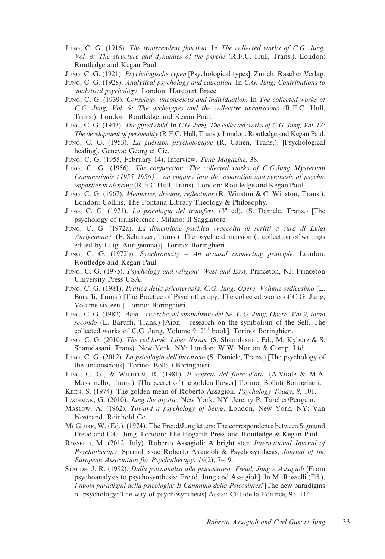JUNG, C. G. (1916). The transcendent function. In The collected works of C.G. Jung, Vol. 8: The structure and dynamics of the psyche (R.F.C. Hull, Trans.). London: Routledge and Kegan Paul.

JUNG, C. G. (1921). Psychologische typen [Psychological types]. Zurich: Rascher Verlag.

- JUNG, C. G. (1928). Analytical psychology and education. In C.G. Jung, Contributions to analytical psychology. London: Harcourt Brace.
- JUNG, C. G. (1939). Conscious, unconscious and individuation. In The collected works of C.G. Jung, Vol. 9: The archetypes and the collective unconscious (R.F.C. Hull, Trans.). London: Routledge and Kegan Paul.
- JUNG, C. G. (1943). The gifted child. In C.G. Jung. The collected works of C.G. Jung, Vol. 17: The development of personality (R.F.C. Hull, Trans.). London: Routledge and Kegan Paul.
- JUNG, C. G. (1953). La guérison psychologique (R. Cahen, Trans.). [Psychological healing]. Geneva: Georg et Cie.
- JUNG, C. G. (1955, February 14). Interview. Time Magazine, 38.
- JUNG, C. G. (1956). The conjunction. The collected works of C.G.Jung. Mysterium Coniunctionis  $(1955-1956)$  – an enquiry into the separation and synthesis of psychic opposites in alchemy (R.F.C.Hull, Trans). London: Routledge and Kegan Paul.
- JUNG, C. G. (1967). Memories, dreams, reflections (R. Winston & C. Winston, Trans.). London: Collins, The Fontana Library Theology & Philosophy.
- JUNG, C. G. (1971). La psicologia del transfert. (3<sup>a</sup> ed). (S. Daniele, Trans.) [The psychology of transference]. Milano: Il Saggiatore.
- JUNG, C. G. (1972a). La dimensione psichica (raccolta di scritti a cura di Luigi Aurigemma). (E. Schanzer, Trans.) [The psychic dimension (a collection of writings edited by Luigi Aurigemma)]. Torino: Boringhieri.
- JUNG, C. G. (1972b). Synchronicity An acausal connecting principle. London: Routledge and Kegan Paul.
- JUNG, C. G. (1975). Psychology and religion: West and East. Princeton, NJ: Princeton University Press USA.
- JUNG, C. G. (1981). Pratica della psicoterapia. C.G. Jung, Opere, Volume sedicesimo (L. Baruffi, Trans.) [The Practice of Psychotherapy. The collected works of C.G. Jung, Volume sixteen.] Torino: Boringhieri.
- JUNG, C. G. (1982). Aion ricerche sul simbolismo del Sé. C.G. Jung, Opere, Vol 9, tomo secondo (L. Baruffi, Trans.) [Aion – research on the symbolism of the Self. The collected works of C.G. Jung, Volume 9, 2<sup>nd</sup> book]. Torino: Boringhieri.
- JUNG, C. G. (2010). The red book: Liber Novus. (S. Shamdasani, Ed., M. Kyburz & S. Shamdasani, Trans). New York, NY; London: W.W. Norton & Comp. Ltd.
- JUNG, C. G. (2012). La psicologia dell'inconscio (S. Daniele, Trans.) [The psychology of the unconscious]. Torino: Bollati Boringhieri.
- JUNG, C. G., & WILHELM, R. (1981). Il segreto del fiore d'oro. (A.Vitale & M.A. Massimello, Trans.). [The secret of the golden flower] Torino: Bollati Boringhieri.
- KEEN, S. (1974). The golden mean of Roberto Assagioli. Psychology Today, 8, 101.
- LACHMAN, G. (2010). Jung the mystic. New York, NY: Jeremy P. Tarcher/Penguin.
- MASLOW, A. (1962). Toward a psychology of being. London, New York, NY: Van Nostrand, Reinhold Co.
- MCGUIRE, W. (Ed.). (1974). The Freud/Jung letters: The correspondence between Sigmund Freud and C.G. Jung. London: The Hogarth Press and Routledge & Kegan Paul.
- ROSSELLI, M. (2012, July). Roberto Assagioli: A bright star. International Journal of Psychotherapy, Special issue Roberto Assagioli & Psychosynthesis, Journal of the European Association for Psychotherapy, 16(2), 7–19.
- STAUDE, J. R. (1992). Dalla psicoanalisi alla psicosintesi: Freud, Jung e Assagioli [From psychoanalysis to psychosynthesis: Freud, Jung and Assagioli]. In M. Rosselli (Ed.), I nuovi paradigmi della psicologia: Il Cammino della Psicosintesi [The new paradigms of psychology: The way of psychosynthesis] Assisi: Cittadella Editrice, 93–114.